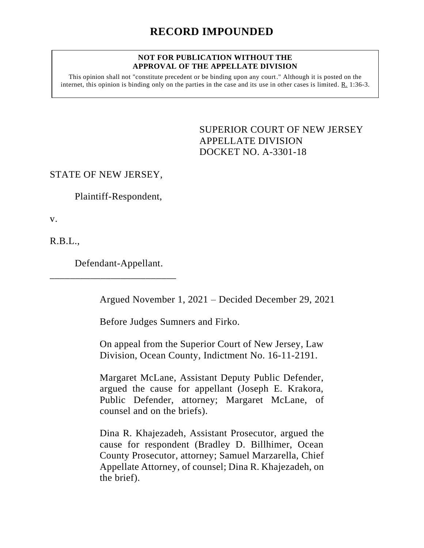#### **NOT FOR PUBLICATION WITHOUT THE APPROVAL OF THE APPELLATE DIVISION**

This opinion shall not "constitute precedent or be binding upon any court." Although it is posted on the internet, this opinion is binding only on the parties in the case and its use in other cases is limited.  $R_1$  1:36-3.

> <span id="page-0-0"></span>SUPERIOR COURT OF NEW JERSEY APPELLATE DIVISION DOCKET NO. A-3301-18

STATE OF NEW JERSEY,

Plaintiff-Respondent,

v.

R.B.L.,

Defendant-Appellant.

\_\_\_\_\_\_\_\_\_\_\_\_\_\_\_\_\_\_\_\_\_\_\_\_\_

Argued November 1, 2021 – Decided December 29, 2021

Before Judges Sumners and Firko.

On appeal from the Superior Court of New Jersey, Law Division, Ocean County, Indictment No. 16-11-2191.

Margaret McLane, Assistant Deputy Public Defender, argued the cause for appellant (Joseph E. Krakora, Public Defender, attorney; Margaret McLane, of counsel and on the briefs).

Dina R. Khajezadeh, Assistant Prosecutor, argued the cause for respondent (Bradley D. Billhimer, Ocean County Prosecutor, attorney; Samuel Marzarella, Chief Appellate Attorney, of counsel; Dina R. Khajezadeh, on the brief).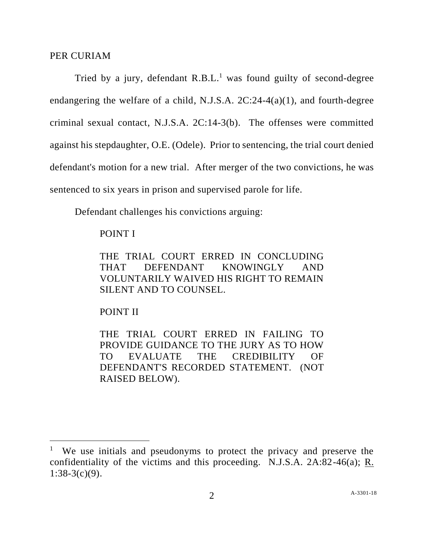### PER CURIAM

Tried by a jury, defendant  $R.B.L.<sup>1</sup>$  was found guilty of second-degree endangering the welfare of a child, N.J.S.A. 2C:24-4(a)(1), and fourth-degree criminal sexual contact, N.J.S.A. 2C:14-3(b). The offenses were committed against his stepdaughter, O.E. (Odele). Prior to sentencing, the trial court denied defendant's motion for a new trial. After merger of the two convictions, he was sentenced to six years in prison and supervised parole for life.

Defendant challenges his convictions arguing:

## POINT I

THE TRIAL COURT ERRED IN CONCLUDING THAT DEFENDANT KNOWINGLY AND VOLUNTARILY WAIVED HIS RIGHT TO REMAIN SILENT AND TO COUNSEL.

## POINT II

THE TRIAL COURT ERRED IN FAILING TO PROVIDE GUIDANCE TO THE JURY AS TO HOW TO EVALUATE THE CREDIBILITY OF DEFENDANT'S RECORDED STATEMENT. (NOT RAISED BELOW).

<sup>&</sup>lt;sup>1</sup> We use initials and pseudonyms to protect the privacy and preserve the confidentiality of the victims and this proceeding. N.J.S.A. 2A:82-46(a); R.  $1:38-3(c)(9)$ .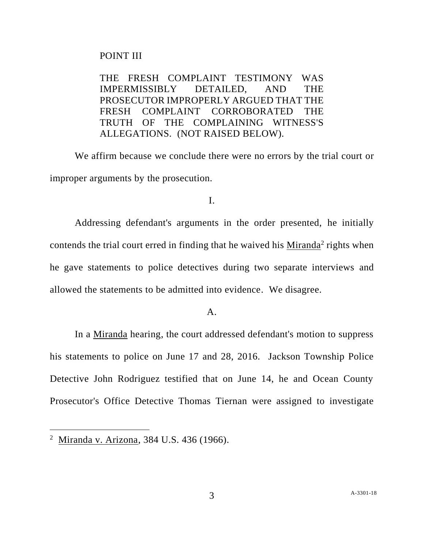# POINT III

THE FRESH COMPLAINT TESTIMONY WAS IMPERMISSIBLY DETAILED, AND THE PROSECUTOR IMPROPERLY ARGUED THAT THE FRESH COMPLAINT CORROBORATED THE TRUTH OF THE COMPLAINING WITNESS'S ALLEGATIONS. (NOT RAISED BELOW).

We affirm because we conclude there were no errors by the trial court or improper arguments by the prosecution.

# I.

Addressing defendant's arguments in the order presented, he initially contends the trial court erred in finding that he waived his  $Minanda<sup>2</sup>$  rights when he gave statements to police detectives during two separate interviews and allowed the statements to be admitted into evidence. We disagree.

A.

In a Miranda hearing, the court addressed defendant's motion to suppress his statements to police on June 17 and 28, 2016. Jackson Township Police Detective John Rodriguez testified that on June 14, he and Ocean County Prosecutor's Office Detective Thomas Tiernan were assigned to investigate

<sup>&</sup>lt;sup>2</sup> Miranda v. Arizona, 384 U.S. 436 (1966).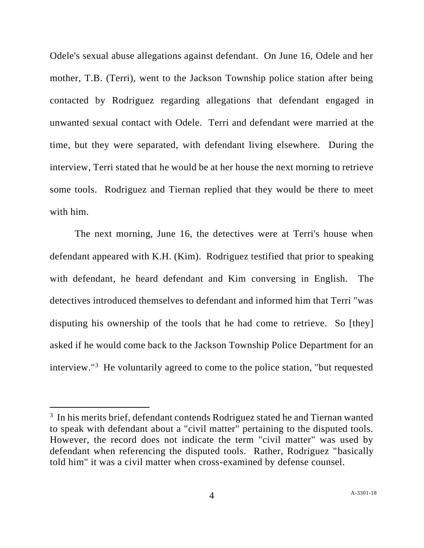Odele's sexual abuse allegations against defendant. On June 16, Odele and her mother, T.B. (Terri), went to the Jackson Township police station after being contacted by Rodriguez regarding allegations that defendant engaged in unwanted sexual contact with Odele. Terri and defendant were married at the time, but they were separated, with defendant living elsewhere. During the interview, Terri stated that he would be at her house the next morning to retrieve some tools. Rodriguez and Tiernan replied that they would be there to meet with him.

The next morning, June 16, the detectives were at Terri's house when defendant appeared with K.H. (Kim). Rodriguez testified that prior to speaking with defendant, he heard defendant and Kim conversing in English. The detectives introduced themselves to defendant and informed him that Terri "was disputing his ownership of the tools that he had come to retrieve. So [they] asked if he would come back to the Jackson Township Police Department for an interview."<sup>3</sup> He voluntarily agreed to come to the police station, "but requested

<sup>&</sup>lt;sup>3</sup> In his merits brief, defendant contends Rodriguez stated he and Tiernan wanted to speak with defendant about a "civil matter" pertaining to the disputed tools. However, the record does not indicate the term "civil matter" was used by defendant when referencing the disputed tools. Rather, Rodriguez "basically told him" it was a civil matter when cross-examined by defense counsel.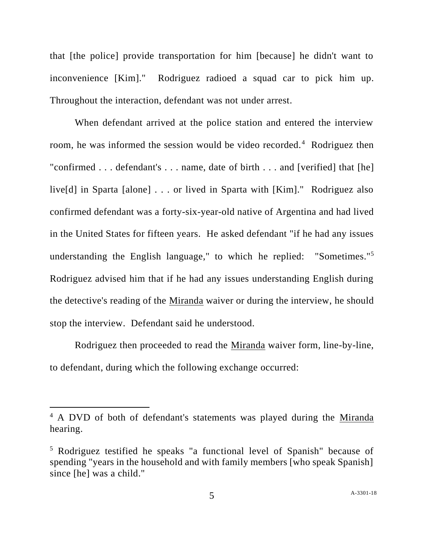that [the police] provide transportation for him [because] he didn't want to inconvenience [Kim]." Rodriguez radioed a squad car to pick him up. Throughout the interaction, defendant was not under arrest.

When defendant arrived at the police station and entered the interview room, he was informed the session would be video recorded.<sup>4</sup> Rodriguez then "confirmed . . . defendant's . . . name, date of birth . . . and [verified] that [he] live[d] in Sparta [alone] . . . or lived in Sparta with [Kim]." Rodriguez also confirmed defendant was a forty-six-year-old native of Argentina and had lived in the United States for fifteen years. He asked defendant "if he had any issues understanding the English language," to which he replied: "Sometimes."<sup>5</sup> Rodriguez advised him that if he had any issues understanding English during the detective's reading of the Miranda waiver or during the interview, he should stop the interview. Defendant said he understood.

Rodriguez then proceeded to read the <u>Miranda</u> waiver form, line-by-line, to defendant, during which the following exchange occurred:

<sup>&</sup>lt;sup>4</sup> A DVD of both of defendant's statements was played during the Miranda hearing.

<sup>5</sup> Rodriguez testified he speaks "a functional level of Spanish" because of spending "years in the household and with family members [who speak Spanish] since [he] was a child."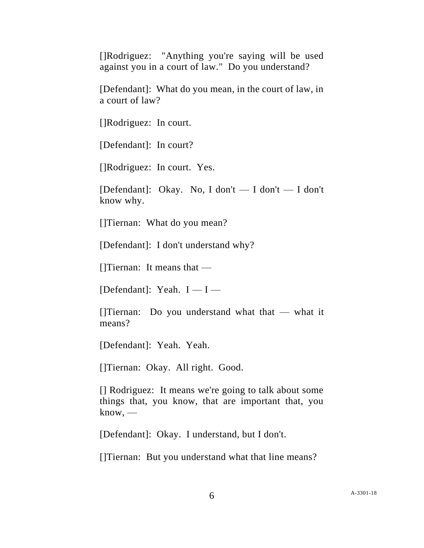[]Rodriguez: "Anything you're saying will be used against you in a court of law." Do you understand?

[Defendant]: What do you mean, in the court of law, in a court of law?

[]Rodriguez: In court.

[Defendant]: In court?

[]Rodriguez: In court. Yes.

[Defendant]: Okay. No, I don't — I don't — I don't know why.

[]Tiernan: What do you mean?

[Defendant]: I don't understand why?

[]Tiernan: It means that —

[Defendant]: Yeah.  $I - I -$ 

[]Tiernan: Do you understand what that  $-$  what it means?

[Defendant]: Yeah. Yeah.

[]Tiernan: Okay. All right. Good.

[] Rodriguez: It means we're going to talk about some things that, you know, that are important that, you  $know.$ —

[Defendant]: Okay. I understand, but I don't.

[]Tiernan: But you understand what that line means?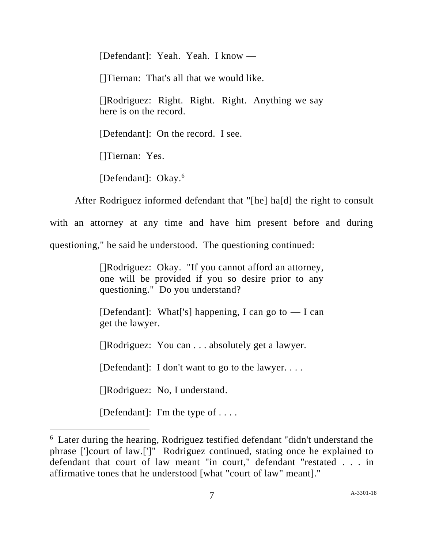[Defendant]: Yeah. Yeah. I know — []Tiernan: That's all that we would like. []Rodriguez: Right. Right. Right. Anything we say here is on the record. [Defendant]: On the record. I see. []Tiernan: Yes.

[Defendant]: Okay.<sup>6</sup>

After Rodriguez informed defendant that "[he] ha[d] the right to consult with an attorney at any time and have him present before and during questioning," he said he understood. The questioning continued:

> []Rodriguez: Okay. "If you cannot afford an attorney, one will be provided if you so desire prior to any questioning." Do you understand?

> [Defendant]: What<sup>['</sup>s] happening, I can go to  $-$  I can get the lawyer.

[]Rodriguez: You can . . . absolutely get a lawyer.

[Defendant]: I don't want to go to the lawyer. . . .

[]Rodriguez: No, I understand.

[Defendant]: I'm the type of  $\dots$ .

<sup>&</sup>lt;sup>6</sup> Later during the hearing, Rodriguez testified defendant "didn't understand the phrase [']court of law.[']" Rodriguez continued, stating once he explained to defendant that court of law meant "in court," defendant "restated . . . in affirmative tones that he understood [what "court of law" meant]."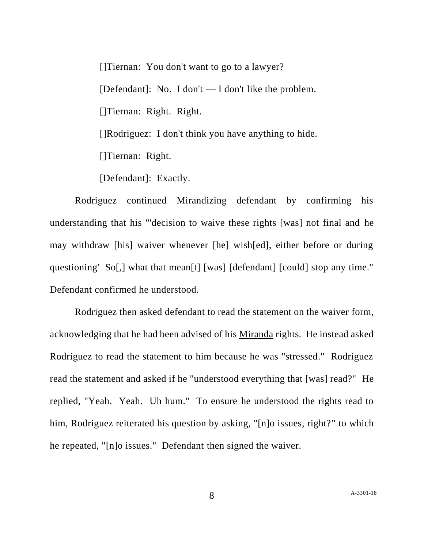[]Tiernan: You don't want to go to a lawyer? [Defendant]: No. I don't  $-$  I don't like the problem. []Tiernan: Right. Right. []Rodriguez: I don't think you have anything to hide. []Tiernan: Right.

[Defendant]: Exactly.

Rodriguez continued Mirandizing defendant by confirming his understanding that his "'decision to waive these rights [was] not final and he may withdraw [his] waiver whenever [he] wish[ed], either before or during questioning' So[,] what that mean[t] [was] [defendant] [could] stop any time." Defendant confirmed he understood.

Rodriguez then asked defendant to read the statement on the waiver form, acknowledging that he had been advised of his Miranda rights. He instead asked Rodriguez to read the statement to him because he was "stressed." Rodriguez read the statement and asked if he "understood everything that [was] read?" He replied, "Yeah. Yeah. Uh hum." To ensure he understood the rights read to him, Rodriguez reiterated his question by asking, "[n]o issues, right?" to which he repeated, "[n]o issues." Defendant then signed the waiver.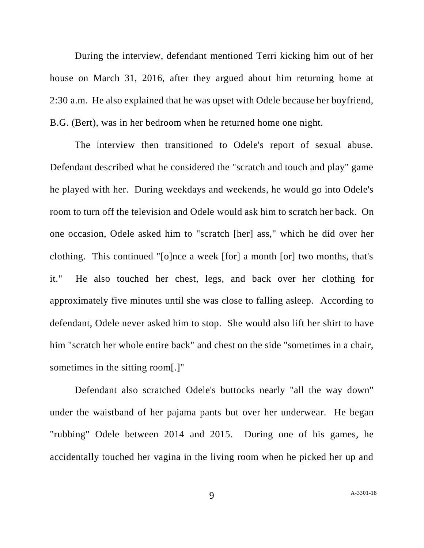During the interview, defendant mentioned Terri kicking him out of her house on March 31, 2016, after they argued about him returning home at 2:30 a.m. He also explained that he was upset with Odele because her boyfriend, B.G. (Bert), was in her bedroom when he returned home one night.

The interview then transitioned to Odele's report of sexual abuse. Defendant described what he considered the "scratch and touch and play" game he played with her. During weekdays and weekends, he would go into Odele's room to turn off the television and Odele would ask him to scratch her back. On one occasion, Odele asked him to "scratch [her] ass," which he did over her clothing. This continued "[o]nce a week [for] a month [or] two months, that's it." He also touched her chest, legs, and back over her clothing for approximately five minutes until she was close to falling asleep. According to defendant, Odele never asked him to stop. She would also lift her shirt to have him "scratch her whole entire back" and chest on the side "sometimes in a chair, sometimes in the sitting room[.]"

Defendant also scratched Odele's buttocks nearly "all the way down" under the waistband of her pajama pants but over her underwear. He began "rubbing" Odele between 2014 and 2015. During one of his games, he accidentally touched her vagina in the living room when he picked her up and

9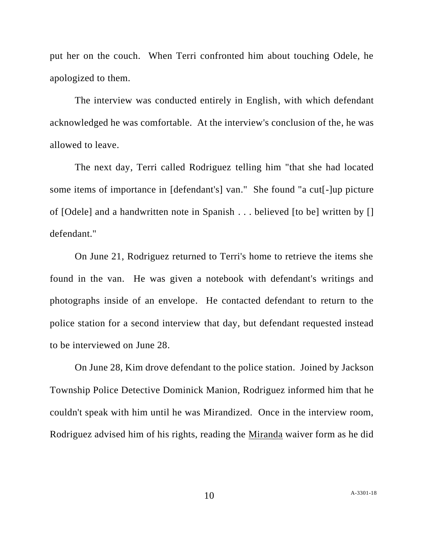put her on the couch. When Terri confronted him about touching Odele, he apologized to them.

The interview was conducted entirely in English, with which defendant acknowledged he was comfortable. At the interview's conclusion of the, he was allowed to leave.

The next day, Terri called Rodriguez telling him "that she had located some items of importance in [defendant's] van." She found "a cut[-]up picture of [Odele] and a handwritten note in Spanish . . . believed [to be] written by [] defendant."

On June 21, Rodriguez returned to Terri's home to retrieve the items she found in the van. He was given a notebook with defendant's writings and photographs inside of an envelope. He contacted defendant to return to the police station for a second interview that day, but defendant requested instead to be interviewed on June 28.

On June 28, Kim drove defendant to the police station. Joined by Jackson Township Police Detective Dominick Manion, Rodriguez informed him that he couldn't speak with him until he was Mirandized. Once in the interview room, Rodriguez advised him of his rights, reading the Miranda waiver form as he did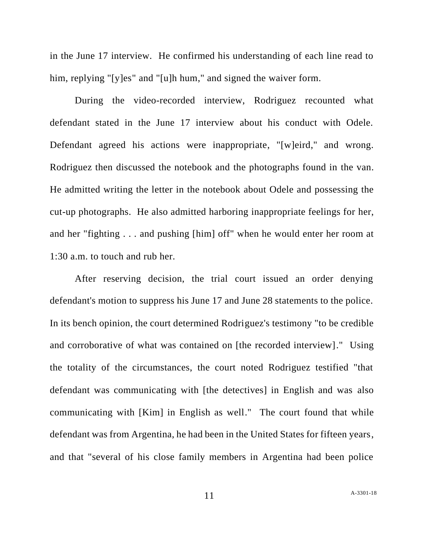in the June 17 interview. He confirmed his understanding of each line read to him, replying "[y]es" and "[u]h hum," and signed the waiver form.

During the video-recorded interview, Rodriguez recounted what defendant stated in the June 17 interview about his conduct with Odele. Defendant agreed his actions were inappropriate, "[w]eird," and wrong. Rodriguez then discussed the notebook and the photographs found in the van. He admitted writing the letter in the notebook about Odele and possessing the cut-up photographs. He also admitted harboring inappropriate feelings for her, and her "fighting . . . and pushing [him] off" when he would enter her room at 1:30 a.m. to touch and rub her.

After reserving decision, the trial court issued an order denying defendant's motion to suppress his June 17 and June 28 statements to the police. In its bench opinion, the court determined Rodriguez's testimony "to be credible and corroborative of what was contained on [the recorded interview]." Using the totality of the circumstances, the court noted Rodriguez testified "that defendant was communicating with [the detectives] in English and was also communicating with [Kim] in English as well." The court found that while defendant was from Argentina, he had been in the United States for fifteen years, and that "several of his close family members in Argentina had been police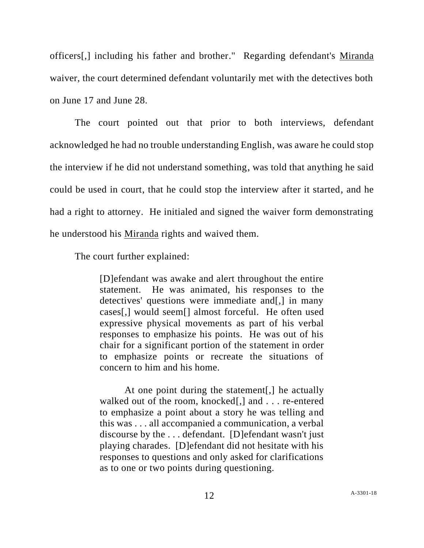officers[,] including his father and brother." Regarding defendant's Miranda waiver, the court determined defendant voluntarily met with the detectives both on June 17 and June 28.

The court pointed out that prior to both interviews, defendant acknowledged he had no trouble understanding English, was aware he could stop the interview if he did not understand something, was told that anything he said could be used in court, that he could stop the interview after it started, and he had a right to attorney. He initialed and signed the waiver form demonstrating he understood his Miranda rights and waived them.

The court further explained:

[D]efendant was awake and alert throughout the entire statement. He was animated, his responses to the detectives' questions were immediate and[,] in many cases[,] would seem[] almost forceful. He often used expressive physical movements as part of his verbal responses to emphasize his points. He was out of his chair for a significant portion of the statement in order to emphasize points or recreate the situations of concern to him and his home.

At one point during the statement[,] he actually walked out of the room, knocked[,] and . . . re-entered to emphasize a point about a story he was telling and this was . . . all accompanied a communication, a verbal discourse by the . . . defendant. [D]efendant wasn't just playing charades. [D]efendant did not hesitate with his responses to questions and only asked for clarifications as to one or two points during questioning.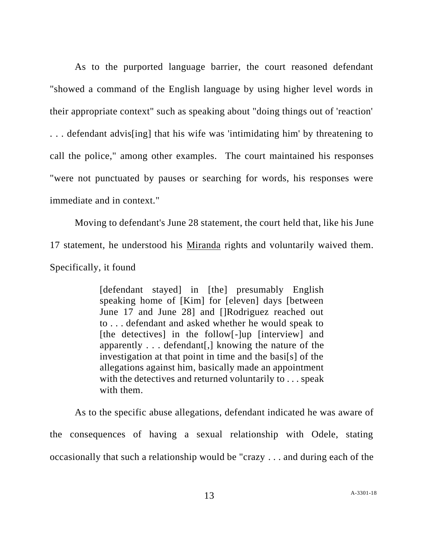As to the purported language barrier, the court reasoned defendant "showed a command of the English language by using higher level words in their appropriate context" such as speaking about "doing things out of 'reaction' . . . defendant advis[ing] that his wife was 'intimidating him' by threatening to call the police," among other examples. The court maintained his responses "were not punctuated by pauses or searching for words, his responses were immediate and in context."

Moving to defendant's June 28 statement, the court held that, like his June 17 statement, he understood his Miranda rights and voluntarily waived them. Specifically, it found

> [defendant stayed] in [the] presumably English speaking home of [Kim] for [eleven] days [between June 17 and June 28] and []Rodriguez reached out to . . . defendant and asked whether he would speak to [the detectives] in the follow[-]up [interview] and apparently . . . defendant[,] knowing the nature of the investigation at that point in time and the basi[s] of the allegations against him, basically made an appointment with the detectives and returned voluntarily to . . . speak with them.

As to the specific abuse allegations, defendant indicated he was aware of the consequences of having a sexual relationship with Odele, stating occasionally that such a relationship would be "crazy . . . and during each of the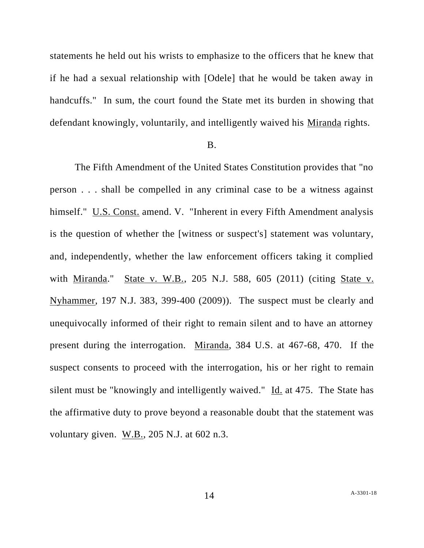statements he held out his wrists to emphasize to the officers that he knew that if he had a sexual relationship with [Odele] that he would be taken away in handcuffs." In sum, the court found the State met its burden in showing that defendant knowingly, voluntarily, and intelligently waived his Miranda rights.

#### B.

The Fifth Amendment of the United States Constitution provides that "no person . . . shall be compelled in any criminal case to be a witness against himself." U.S. Const. amend. V. "Inherent in every Fifth Amendment analysis is the question of whether the [witness or suspect's] statement was voluntary, and, independently, whether the law enforcement officers taking it complied with Miranda." State v. W.B., 205 N.J. 588, 605 (2011) (citing State v. Nyhammer, 197 N.J. 383, 399-400 (2009)). The suspect must be clearly and unequivocally informed of their right to remain silent and to have an attorney present during the interrogation. Miranda, 384 U.S. at 467-68, 470. If the suspect consents to proceed with the interrogation, his or her right to remain silent must be "knowingly and intelligently waived." Id. at 475. The State has the affirmative duty to prove beyond a reasonable doubt that the statement was voluntary given. W.B., 205 N.J. at 602 n.3.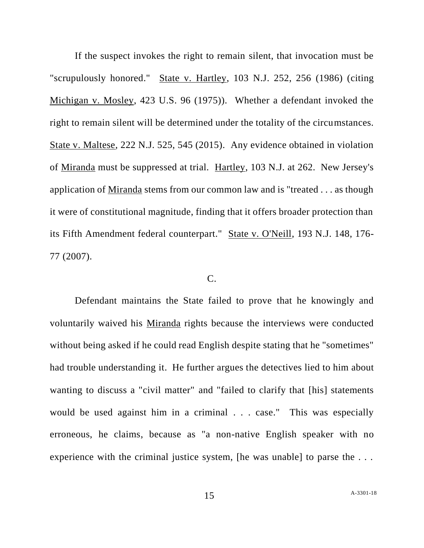If the suspect invokes the right to remain silent, that invocation must be "scrupulously honored." State v. Hartley, 103 N.J. 252, 256 (1986) (citing Michigan v. Mosley, 423 U.S. 96 (1975)). Whether a defendant invoked the right to remain silent will be determined under the totality of the circumstances. State v. Maltese, 222 N.J. 525, 545 (2015). Any evidence obtained in violation of Miranda must be suppressed at trial. Hartley, 103 N.J. at 262. New Jersey's application of Miranda stems from our common law and is "treated . . . as though it were of constitutional magnitude, finding that it offers broader protection than its Fifth Amendment federal counterpart." State v. O'Neill, 193 N.J. 148, 176- 77 (2007).

## C.

Defendant maintains the State failed to prove that he knowingly and voluntarily waived his Miranda rights because the interviews were conducted without being asked if he could read English despite stating that he "sometimes" had trouble understanding it. He further argues the detectives lied to him about wanting to discuss a "civil matter" and "failed to clarify that [his] statements would be used against him in a criminal . . . case." This was especially erroneous, he claims, because as "a non-native English speaker with no experience with the criminal justice system. The was unablel to parse the ...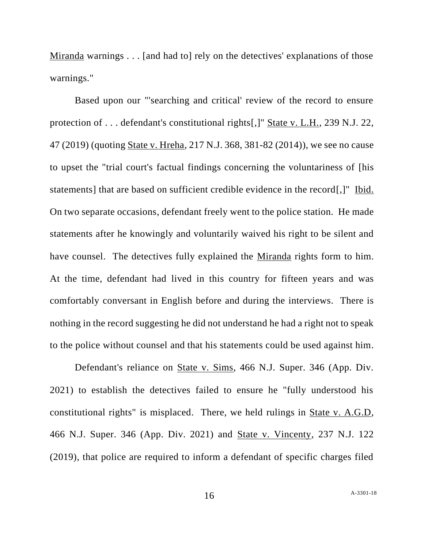Miranda warnings . . . [and had to] rely on the detectives' explanations of those warnings."

Based upon our "'searching and critical' review of the record to ensure protection of . . . defendant's constitutional rights[,]" State v. L.H., 239 N.J. 22, 47 (2019) (quoting State v. Hreha, 217 N.J. 368, 381-82 (2014)), we see no cause to upset the "trial court's factual findings concerning the voluntariness of [his statements] that are based on sufficient credible evidence in the record[,]" Ibid. On two separate occasions, defendant freely went to the police station. He made statements after he knowingly and voluntarily waived his right to be silent and have counsel. The detectives fully explained the Miranda rights form to him. At the time, defendant had lived in this country for fifteen years and was comfortably conversant in English before and during the interviews. There is nothing in the record suggesting he did not understand he had a right not to speak to the police without counsel and that his statements could be used against him.

Defendant's reliance on State v. Sims, 466 N.J. Super. 346 (App. Div. 2021) to establish the detectives failed to ensure he "fully understood his constitutional rights" is misplaced. There, we held rulings in State v. A.G.D, 466 N.J. Super. 346 (App. Div. 2021) and State v. Vincenty, 237 N.J. 122 (2019), that police are required to inform a defendant of specific charges filed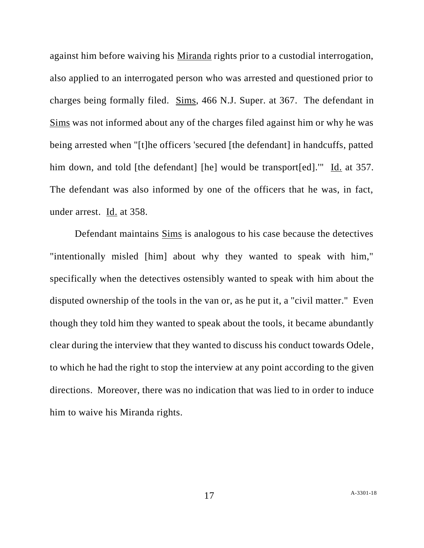against him before waiving his Miranda rights prior to a custodial interrogation, also applied to an interrogated person who was arrested and questioned prior to charges being formally filed. Sims, 466 N.J. Super. at 367. The defendant in Sims was not informed about any of the charges filed against him or why he was being arrested when "[t]he officers 'secured [the defendant] in handcuffs, patted him down, and told [the defendant] [he] would be transport[ed]." Id. at 357. The defendant was also informed by one of the officers that he was, in fact, under arrest. Id. at 358.

Defendant maintains Sims is analogous to his case because the detectives "intentionally misled [him] about why they wanted to speak with him," specifically when the detectives ostensibly wanted to speak with him about the disputed ownership of the tools in the van or, as he put it, a "civil matter." Even though they told him they wanted to speak about the tools, it became abundantly clear during the interview that they wanted to discuss his conduct towards Odele, to which he had the right to stop the interview at any point according to the given directions. Moreover, there was no indication that was lied to in order to induce him to waive his Miranda rights.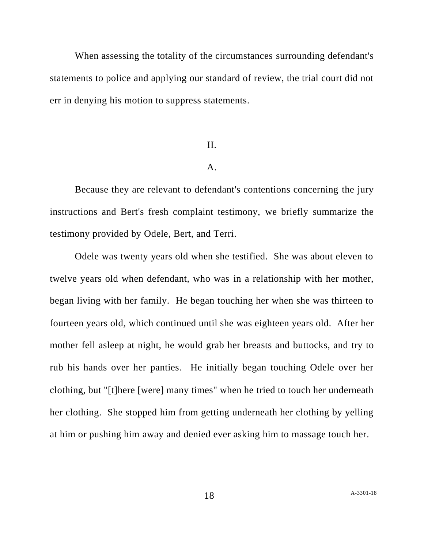When assessing the totality of the circumstances surrounding defendant's statements to police and applying our standard of review, the trial court did not err in denying his motion to suppress statements.

#### II.

#### A.

Because they are relevant to defendant's contentions concerning the jury instructions and Bert's fresh complaint testimony, we briefly summarize the testimony provided by Odele, Bert, and Terri.

Odele was twenty years old when she testified. She was about eleven to twelve years old when defendant, who was in a relationship with her mother, began living with her family. He began touching her when she was thirteen to fourteen years old, which continued until she was eighteen years old. After her mother fell asleep at night, he would grab her breasts and buttocks, and try to rub his hands over her panties. He initially began touching Odele over her clothing, but "[t]here [were] many times" when he tried to touch her underneath her clothing. She stopped him from getting underneath her clothing by yelling at him or pushing him away and denied ever asking him to massage touch her.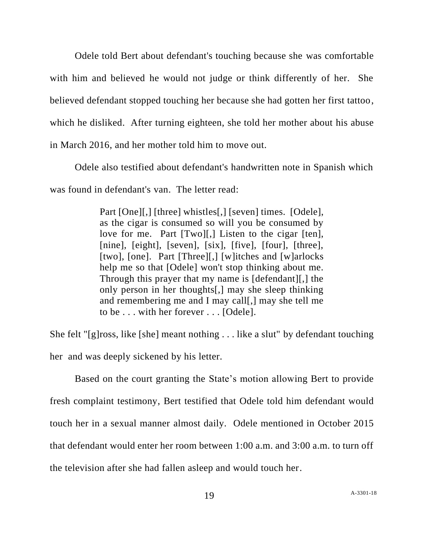Odele told Bert about defendant's touching because she was comfortable with him and believed he would not judge or think differently of her. She believed defendant stopped touching her because she had gotten her first tattoo, which he disliked. After turning eighteen, she told her mother about his abuse in March 2016, and her mother told him to move out.

Odele also testified about defendant's handwritten note in Spanish which was found in defendant's van. The letter read:

> Part [One][,] [three] whistles[,] [seven] times. [Odele], as the cigar is consumed so will you be consumed by love for me. Part [Two][,] Listen to the cigar [ten], [nine], [eight], [seven], [six], [five], [four], [three], [two], [one]. Part [Three][,] [w]itches and [w]arlocks help me so that [Odele] won't stop thinking about me. Through this prayer that my name is [defendant][,] the only person in her thoughts[,] may she sleep thinking and remembering me and I may call[,] may she tell me to be . . . with her forever . . . [Odele].

She felt "[g]ross, like [she] meant nothing . . . like a slut" by defendant touching her and was deeply sickened by his letter.

Based on the court granting the State's motion allowing Bert to provide fresh complaint testimony, Bert testified that Odele told him defendant would touch her in a sexual manner almost daily. Odele mentioned in October 2015 that defendant would enter her room between 1:00 a.m. and 3:00 a.m. to turn off the television after she had fallen asleep and would touch her.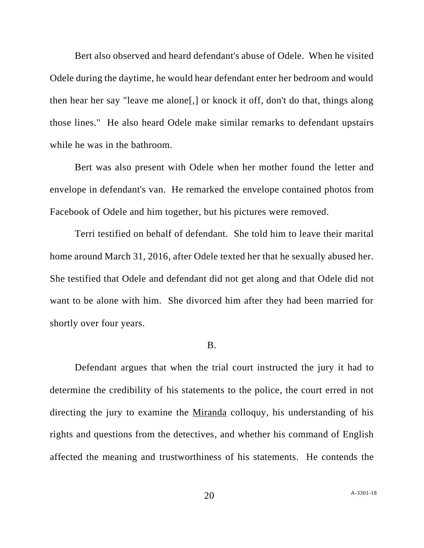Bert also observed and heard defendant's abuse of Odele. When he visited Odele during the daytime, he would hear defendant enter her bedroom and would then hear her say "leave me alone[,] or knock it off, don't do that, things along those lines." He also heard Odele make similar remarks to defendant upstairs while he was in the bathroom.

Bert was also present with Odele when her mother found the letter and envelope in defendant's van. He remarked the envelope contained photos from Facebook of Odele and him together, but his pictures were removed.

Terri testified on behalf of defendant. She told him to leave their marital home around March 31, 2016, after Odele texted her that he sexually abused her. She testified that Odele and defendant did not get along and that Odele did not want to be alone with him. She divorced him after they had been married for shortly over four years.

#### B.

Defendant argues that when the trial court instructed the jury it had to determine the credibility of his statements to the police, the court erred in not directing the jury to examine the Miranda colloquy, his understanding of his rights and questions from the detectives, and whether his command of English affected the meaning and trustworthiness of his statements. He contends the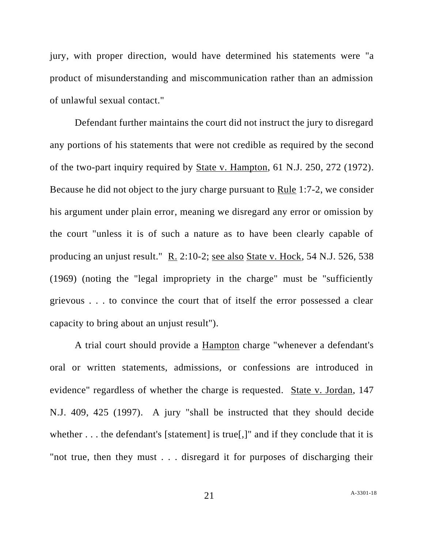jury, with proper direction, would have determined his statements were "a product of misunderstanding and miscommunication rather than an admission of unlawful sexual contact."

Defendant further maintains the court did not instruct the jury to disregard any portions of his statements that were not credible as required by the second of the two-part inquiry required by State v. Hampton, 61 N.J. 250, 272 (1972). Because he did not object to the jury charge pursuant to Rule 1:7-2, we consider his argument under plain error, meaning we disregard any error or omission by the court "unless it is of such a nature as to have been clearly capable of producing an unjust result." R. 2:10-2; see also State v. Hock, 54 N.J. 526, 538 (1969) (noting the "legal impropriety in the charge" must be "sufficiently grievous . . . to convince the court that of itself the error possessed a clear capacity to bring about an unjust result").

A trial court should provide a Hampton charge "whenever a defendant's oral or written statements, admissions, or confessions are introduced in evidence" regardless of whether the charge is requested. State v. Jordan, 147 N.J. 409, 425 (1997). A jury "shall be instructed that they should decide whether . . . the defendant's [statement] is true[.]" and if they conclude that it is "not true, then they must . . . disregard it for purposes of discharging their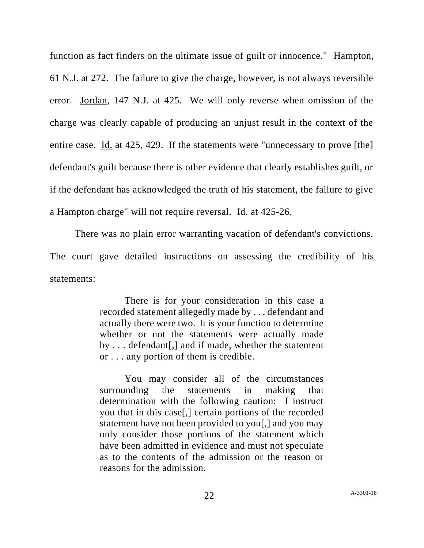function as fact finders on the ultimate issue of guilt or innocence." Hampton, 61 N.J. at 272. The failure to give the charge, however, is not always reversible error. Jordan, 147 N.J. at 425. We will only reverse when omission of the charge was clearly capable of producing an unjust result in the context of the entire case. Id. at 425, 429. If the statements were "unnecessary to prove [the] defendant's guilt because there is other evidence that clearly establishes guilt, or if the defendant has acknowledged the truth of his statement, the failure to give a Hampton charge" will not require reversal. Id. at 425-26.

There was no plain error warranting vacation of defendant's convictions. The court gave detailed instructions on assessing the credibility of his statements:

> There is for your consideration in this case a recorded statement allegedly made by . . . defendant and actually there were two. It is your function to determine whether or not the statements were actually made by . . . defendant[,] and if made, whether the statement or . . . any portion of them is credible.

> You may consider all of the circumstances surrounding the statements in making that determination with the following caution: I instruct you that in this case[,] certain portions of the recorded statement have not been provided to you[,] and you may only consider those portions of the statement which have been admitted in evidence and must not speculate as to the contents of the admission or the reason or reasons for the admission.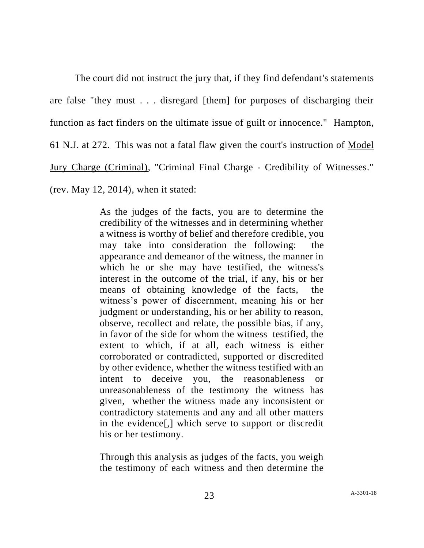The court did not instruct the jury that, if they find defendant's statements are false "they must . . . disregard [them] for purposes of discharging their function as fact finders on the ultimate issue of guilt or innocence." Hampton, 61 N.J. at 272. This was not a fatal flaw given the court's instruction of Model Jury Charge (Criminal), "Criminal Final Charge - Credibility of Witnesses." (rev. May 12, 2014), when it stated:

> As the judges of the facts, you are to determine the credibility of the witnesses and in determining whether a witness is worthy of belief and therefore credible, you may take into consideration the following: the appearance and demeanor of the witness, the manner in which he or she may have testified, the witness's interest in the outcome of the trial, if any, his or her means of obtaining knowledge of the facts, the witness's power of discernment, meaning his or her judgment or understanding, his or her ability to reason, observe, recollect and relate, the possible bias, if any, in favor of the side for whom the witness testified, the extent to which, if at all, each witness is either corroborated or contradicted, supported or discredited by other evidence, whether the witness testified with an intent to deceive you, the reasonableness or unreasonableness of the testimony the witness has given, whether the witness made any inconsistent or contradictory statements and any and all other matters in the evidence[,] which serve to support or discredit his or her testimony.

> Through this analysis as judges of the facts, you weigh the testimony of each witness and then determine the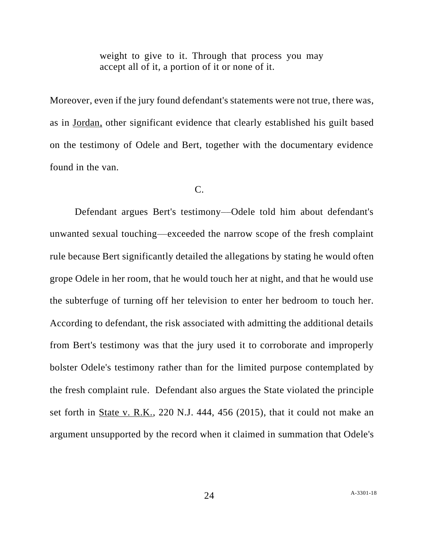weight to give to it. Through that process you may accept all of it, a portion of it or none of it.

Moreover, even if the jury found defendant's statements were not true, there was, as in Jordan, other significant evidence that clearly established his guilt based on the testimony of Odele and Bert, together with the documentary evidence found in the van.

### C.

Defendant argues Bert's testimony––Odele told him about defendant's unwanted sexual touching––exceeded the narrow scope of the fresh complaint rule because Bert significantly detailed the allegations by stating he would often grope Odele in her room, that he would touch her at night, and that he would use the subterfuge of turning off her television to enter her bedroom to touch her. According to defendant, the risk associated with admitting the additional details from Bert's testimony was that the jury used it to corroborate and improperly bolster Odele's testimony rather than for the limited purpose contemplated by the fresh complaint rule. Defendant also argues the State violated the principle set forth in State v. R.K., 220 N.J. 444, 456 (2015), that it could not make an argument unsupported by the record when it claimed in summation that Odele's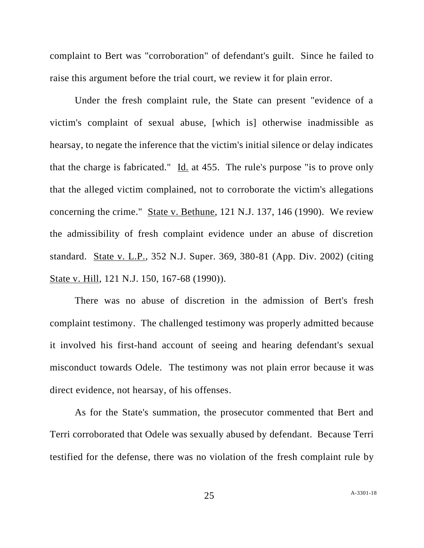complaint to Bert was "corroboration" of defendant's guilt. Since he failed to raise this argument before the trial court, we review it for plain error.

Under the fresh complaint rule, the State can present "evidence of a victim's complaint of sexual abuse, [which is] otherwise inadmissible as hearsay, to negate the inference that the victim's initial silence or delay indicates that the charge is fabricated." Id. at 455. The rule's purpose "is to prove only that the alleged victim complained, not to corroborate the victim's allegations concerning the crime." State v. Bethune, 121 N.J. 137, 146 (1990). We review the admissibility of fresh complaint evidence under an abuse of discretion standard. State v. L.P., 352 N.J. Super. 369, 380-81 (App. Div. 2002) (citing State v. Hill, 121 N.J. 150, 167-68 (1990)).

There was no abuse of discretion in the admission of Bert's fresh complaint testimony. The challenged testimony was properly admitted because it involved his first-hand account of seeing and hearing defendant's sexual misconduct towards Odele. The testimony was not plain error because it was direct evidence, not hearsay, of his offenses.

As for the State's summation, the prosecutor commented that Bert and Terri corroborated that Odele was sexually abused by defendant. Because Terri testified for the defense, there was no violation of the fresh complaint rule by